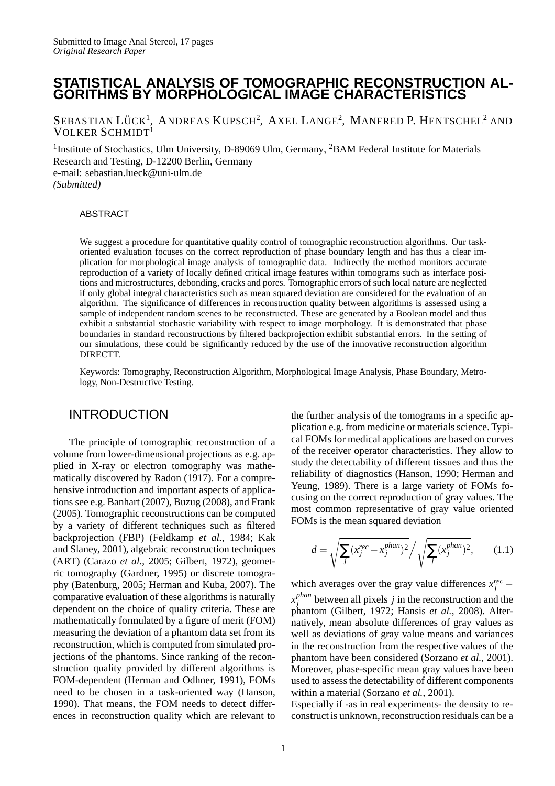# **STATISTICAL ANALYSIS OF TOMOGRAPHIC RECONSTRUCTION AL-GORITHMS BY MORPHOLOGICAL IMAGE CHARACTERISTICS**

SEBASTIAN LÜCK<sup>1</sup>, ANDREAS KUPSCH<sup>2</sup>, AXEL LANGE<sup>2</sup>, MANFRED P. HENTSCHEL<sup>2</sup> AND VOLKER SCHMIDT<sup>1</sup>

<sup>1</sup>Institute of Stochastics, Ulm University, D-89069 Ulm, Germany, <sup>2</sup>BAM Federal Institute for Materials Research and Testing, D-12200 Berlin, Germany e-mail: sebastian.lueck@uni-ulm.de *(Submitted)*

#### ABSTRACT

We suggest a procedure for quantitative quality control of tomographic reconstruction algorithms. Our taskoriented evaluation focuses on the correct reproduction of phase boundary length and has thus a clear implication for morphological image analysis of tomographic data. Indirectly the method monitors accurate reproduction of a variety of locally defined critical image features within tomograms such as interface positions and microstructures, debonding, cracks and pores. Tomographic errors of such local nature are neglected if only global integral characteristics such as mean squared deviation are considered for the evaluation of an algorithm. The significance of differences in reconstruction quality between algorithms is assessed using a sample of independent random scenes to be reconstructed. These are generated by a Boolean model and thus exhibit a substantial stochastic variability with respect to image morphology. It is demonstrated that phase boundaries in standard reconstructions by filtered backprojection exhibit substantial errors. In the setting of our simulations, these could be significantly reduced by the use of the innovative reconstruction algorithm DIRECTT.

Keywords: Tomography, Reconstruction Algorithm, Morphological Image Analysis, Phase Boundary, Metrology, Non-Destructive Testing.

# INTRODUCTION

The principle of tomographic reconstruction of a volume from lower-dimensional projections as e.g. applied in X-ray or electron tomography was mathematically discovered by Radon (1917). For a comprehensive introduction and important aspects of applications see e.g. Banhart (2007), Buzug (2008), and Frank (2005). Tomographic reconstructions can be computed by a variety of different techniques such as filtered backprojection (FBP) (Feldkamp *et al.*, 1984; Kak and Slaney, 2001), algebraic reconstruction techniques (ART) (Carazo *et al.*, 2005; Gilbert, 1972), geometric tomography (Gardner, 1995) or discrete tomography (Batenburg, 2005; Herman and Kuba, 2007). The comparative evaluation of these algorithms is naturally dependent on the choice of quality criteria. These are mathematically formulated by a figure of merit (FOM) measuring the deviation of a phantom data set from its reconstruction, which is computed from simulated projections of the phantoms. Since ranking of the reconstruction quality provided by different algorithms is FOM-dependent (Herman and Odhner, 1991), FOMs need to be chosen in a task-oriented way (Hanson, 1990). That means, the FOM needs to detect differences in reconstruction quality which are relevant to

the further analysis of the tomograms in a specific application e.g. from medicine or materials science. Typical FOMs for medical applications are based on curves of the receiver operator characteristics. They allow to study the detectability of different tissues and thus the reliability of diagnostics (Hanson, 1990; Herman and Yeung, 1989). There is a large variety of FOMs focusing on the correct reproduction of gray values. The most common representative of gray value oriented FOMs is the mean squared deviation

$$
d = \sqrt{\sum_{j} (x_j^{rec} - x_j^{phan})^2} / \sqrt{\sum_{j} (x_j^{phan})^2}, \qquad (1.1)
$$

which averages over the gray value differences  $x_j^{rec}$  − *x phan*  $j_j^{p$ <sup>nan</sup> between all pixels *j* in the reconstruction and the phantom (Gilbert, 1972; Hansis *et al.*, 2008). Alternatively, mean absolute differences of gray values as well as deviations of gray value means and variances in the reconstruction from the respective values of the phantom have been considered (Sorzano *et al.*, 2001). Moreover, phase-specific mean gray values have been used to assess the detectability of different components within a material (Sorzano *et al.*, 2001).

Especially if -as in real experiments- the density to reconstruct is unknown, reconstruction residuals can be a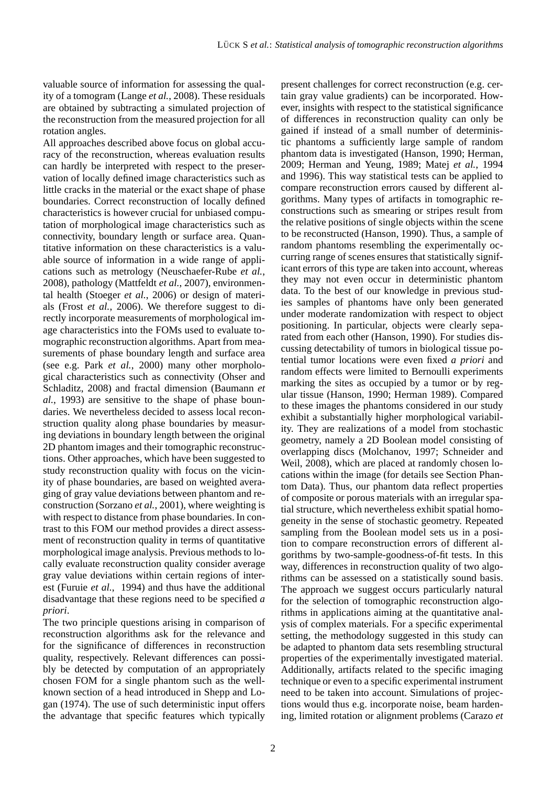valuable source of information for assessing the quality of a tomogram (Lange *et al.*, 2008). These residuals are obtained by subtracting a simulated projection of the reconstruction from the measured projection for all rotation angles.

All approaches described above focus on global accuracy of the reconstruction, whereas evaluation results can hardly be interpreted with respect to the preservation of locally defined image characteristics such as little cracks in the material or the exact shape of phase boundaries. Correct reconstruction of locally defined characteristics is however crucial for unbiased computation of morphological image characteristics such as connectivity, boundary length or surface area. Quantitative information on these characteristics is a valuable source of information in a wide range of applications such as metrology (Neuschaefer-Rube *et al.*, 2008), pathology (Mattfeldt *et al.*, 2007), environmental health (Stoeger *et al.*, 2006) or design of materials (Frost *et al.*, 2006). We therefore suggest to directly incorporate measurements of morphological image characteristics into the FOMs used to evaluate tomographic reconstruction algorithms. Apart from measurements of phase boundary length and surface area (see e.g. Park *et al.*, 2000) many other morphological characteristics such as connectivity (Ohser and Schladitz, 2008) and fractal dimension (Baumann *et al.*, 1993) are sensitive to the shape of phase boundaries. We nevertheless decided to assess local reconstruction quality along phase boundaries by measuring deviations in boundary length between the original 2D phantom images and their tomographic reconstructions. Other approaches, which have been suggested to study reconstruction quality with focus on the vicinity of phase boundaries, are based on weighted averaging of gray value deviations between phantom and reconstruction (Sorzano *et al.*, 2001), where weighting is with respect to distance from phase boundaries. In contrast to this FOM our method provides a direct assessment of reconstruction quality in terms of quantitative morphological image analysis. Previous methods to locally evaluate reconstruction quality consider average gray value deviations within certain regions of interest (Furuie *et al.*, 1994) and thus have the additional disadvantage that these regions need to be specified *a priori*.

The two principle questions arising in comparison of reconstruction algorithms ask for the relevance and for the significance of differences in reconstruction quality, respectively. Relevant differences can possibly be detected by computation of an appropriately chosen FOM for a single phantom such as the wellknown section of a head introduced in Shepp and Logan (1974). The use of such deterministic input offers the advantage that specific features which typically present challenges for correct reconstruction (e.g. certain gray value gradients) can be incorporated. However, insights with respect to the statistical significance of differences in reconstruction quality can only be gained if instead of a small number of deterministic phantoms a sufficiently large sample of random phantom data is investigated (Hanson, 1990; Herman, 2009; Herman and Yeung, 1989; Matej *et al.*, 1994 and 1996). This way statistical tests can be applied to compare reconstruction errors caused by different algorithms. Many types of artifacts in tomographic reconstructions such as smearing or stripes result from the relative positions of single objects within the scene to be reconstructed (Hanson, 1990). Thus, a sample of random phantoms resembling the experimentally occurring range of scenes ensures that statistically significant errors of this type are taken into account, whereas they may not even occur in deterministic phantom data. To the best of our knowledge in previous studies samples of phantoms have only been generated under moderate randomization with respect to object positioning. In particular, objects were clearly separated from each other (Hanson, 1990). For studies discussing detectability of tumors in biological tissue potential tumor locations were even fixed *a priori* and random effects were limited to Bernoulli experiments marking the sites as occupied by a tumor or by regular tissue (Hanson, 1990; Herman 1989). Compared to these images the phantoms considered in our study exhibit a substantially higher morphological variability. They are realizations of a model from stochastic geometry, namely a 2D Boolean model consisting of overlapping discs (Molchanov, 1997; Schneider and Weil, 2008), which are placed at randomly chosen locations within the image (for details see Section Phantom Data). Thus, our phantom data reflect properties of composite or porous materials with an irregular spatial structure, which nevertheless exhibit spatial homogeneity in the sense of stochastic geometry. Repeated sampling from the Boolean model sets us in a position to compare reconstruction errors of different algorithms by two-sample-goodness-of-fit tests. In this way, differences in reconstruction quality of two algorithms can be assessed on a statistically sound basis. The approach we suggest occurs particularly natural for the selection of tomographic reconstruction algorithms in applications aiming at the quantitative analysis of complex materials. For a specific experimental setting, the methodology suggested in this study can be adapted to phantom data sets resembling structural properties of the experimentally investigated material. Additionally, artifacts related to the specific imaging technique or even to a specific experimental instrument need to be taken into account. Simulations of projections would thus e.g. incorporate noise, beam hardening, limited rotation or alignment problems (Carazo *et*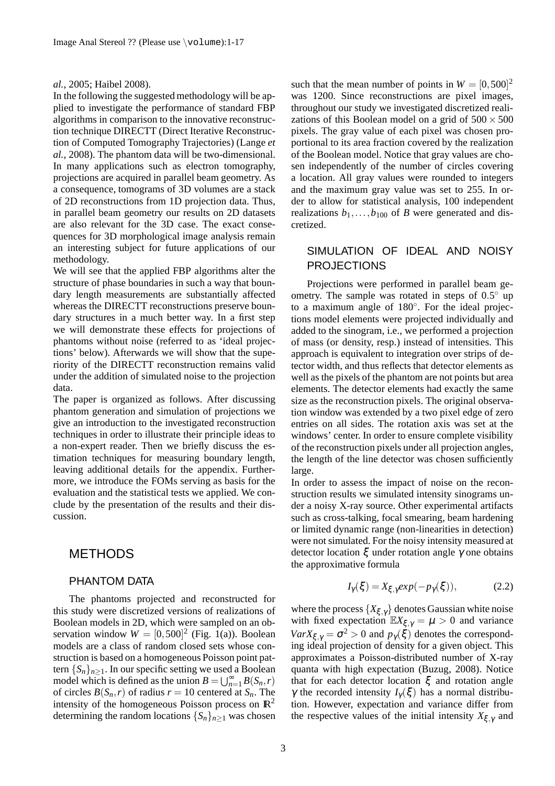#### *al.*, 2005; Haibel 2008).

In the following the suggested methodology will be applied to investigate the performance of standard FBP algorithms in comparison to the innovative reconstruction technique DIRECTT (Direct Iterative Reconstruction of Computed Tomography Trajectories) (Lange *et al.*, 2008). The phantom data will be two-dimensional. In many applications such as electron tomography, projections are acquired in parallel beam geometry. As a consequence, tomograms of 3D volumes are a stack of 2D reconstructions from 1D projection data. Thus, in parallel beam geometry our results on 2D datasets are also relevant for the 3D case. The exact consequences for 3D morphological image analysis remain an interesting subject for future applications of our methodology.

We will see that the applied FBP algorithms alter the structure of phase boundaries in such a way that boundary length measurements are substantially affected whereas the DIRECTT reconstructions preserve boundary structures in a much better way. In a first step we will demonstrate these effects for projections of phantoms without noise (referred to as 'ideal projections' below). Afterwards we will show that the superiority of the DIRECTT reconstruction remains valid under the addition of simulated noise to the projection data.

The paper is organized as follows. After discussing phantom generation and simulation of projections we give an introduction to the investigated reconstruction techniques in order to illustrate their principle ideas to a non-expert reader. Then we briefly discuss the estimation techniques for measuring boundary length, leaving additional details for the appendix. Furthermore, we introduce the FOMs serving as basis for the evaluation and the statistical tests we applied. We conclude by the presentation of the results and their discussion.

#### METHODS

#### PHANTOM DATA

The phantoms projected and reconstructed for this study were discretized versions of realizations of Boolean models in 2D, which were sampled on an observation window  $W = [0, 500]^2$  (Fig. 1(a)). Boolean models are a class of random closed sets whose construction is based on a homogeneous Poisson point pattern  ${S_n}_{n\geq 1}$ . In our specific setting we used a Boolean model which is defined as the union  $B = \bigcup_{n=1}^{\infty} B(S_n, r)$ of circles  $B(S_n, r)$  of radius  $r = 10$  centered at  $S_n$ . The intensity of the homogeneous Poisson process on  $\mathbb{R}^2$ determining the random locations  ${S_n}_{n>1}$  was chosen

such that the mean number of points in  $W = [0, 500]^2$ was 1200. Since reconstructions are pixel images, throughout our study we investigated discretized realizations of this Boolean model on a grid of  $500 \times 500$ pixels. The gray value of each pixel was chosen proportional to its area fraction covered by the realization of the Boolean model. Notice that gray values are chosen independently of the number of circles covering a location. All gray values were rounded to integers and the maximum gray value was set to 255. In order to allow for statistical analysis, 100 independent realizations  $b_1$ ,..., $b_{100}$  of *B* were generated and discretized.

# SIMULATION OF IDEAL AND NOISY PROJECTIONS

Projections were performed in parallel beam geometry. The sample was rotated in steps of  $0.5^{\circ}$  up to a maximum angle of 180°. For the ideal projections model elements were projected individually and added to the sinogram, i.e., we performed a projection of mass (or density, resp.) instead of intensities. This approach is equivalent to integration over strips of detector width, and thus reflects that detector elements as well as the pixels of the phantom are not points but area elements. The detector elements had exactly the same size as the reconstruction pixels. The original observation window was extended by a two pixel edge of zero entries on all sides. The rotation axis was set at the windows' center. In order to ensure complete visibility of the reconstruction pixels under all projection angles, the length of the line detector was chosen sufficiently large.

In order to assess the impact of noise on the reconstruction results we simulated intensity sinograms under a noisy X-ray source. Other experimental artifacts such as cross-talking, focal smearing, beam hardening or limited dynamic range (non-linearities in detection) were not simulated. For the noisy intensity measured at detector location ξ under rotation angle γ one obtains the approximative formula

$$
I_{\gamma}(\xi) = X_{\xi,\gamma} \exp(-p_{\gamma}(\xi)), \tag{2.2}
$$

where the process  $\{X_{\xi,\gamma}\}\$  denotes Gaussian white noise with fixed expectation  $\mathbb{E}X_{\xi,\gamma} = \mu > 0$  and variance  $Var X_{\xi, \gamma} = \sigma^2 > 0$  and  $p_{\gamma}(\xi)$  denotes the corresponding ideal projection of density for a given object. This approximates a Poisson-distributed number of X-ray quanta with high expectation (Buzug, 2008). Notice that for each detector location  $ξ$  and rotation angle γ the recorded intensity  $I_{\gamma}(\xi)$  has a normal distribution. However, expectation and variance differ from the respective values of the initial intensity  $X_{\xi, \gamma}$  and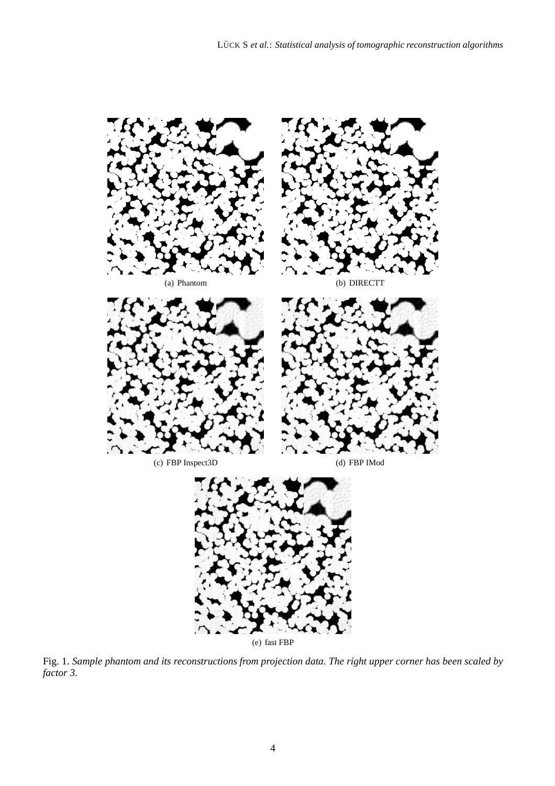

(e) fast FBP

Fig. 1. *Sample phantom and its reconstructions from projection data. The right upper corner has been scaled by factor 3.*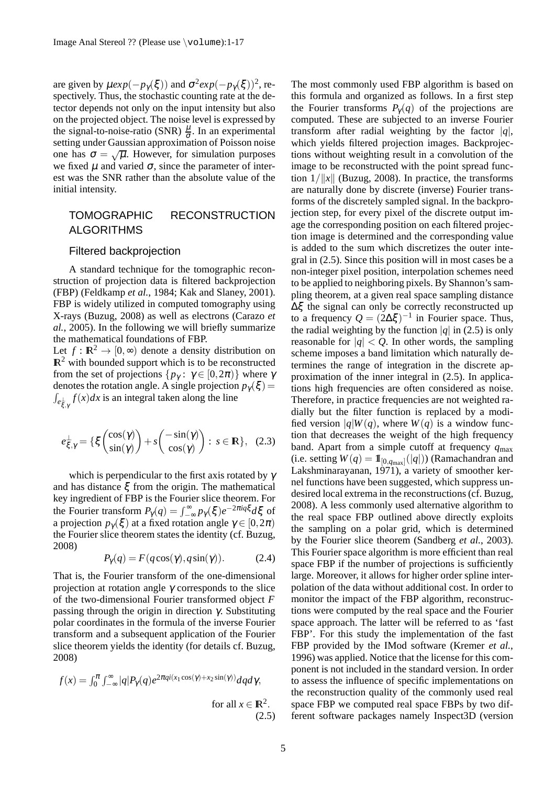are given by  $\mu exp(-p_1(\xi))$  and  $\sigma^2 exp(-p_1(\xi))^2$ , respectively. Thus, the stochastic counting rate at the detector depends not only on the input intensity but also on the projected object. The noise level is expressed by the signal-to-noise-ratio (SNR)  $\frac{\mu}{\sigma}$ . In an experimental setting under Gaussian approximation of Poisson noise one has  $\sigma = \sqrt{\mu}$ . However, for simulation purposes we fixed  $\mu$  and varied  $\sigma$ , since the parameter of interest was the SNR rather than the absolute value of the initial intensity.

# TOMOGRAPHIC RECONSTRUCTION ALGORITHMS

#### Filtered backprojection

A standard technique for the tomographic reconstruction of projection data is filtered backprojection (FBP) (Feldkamp *et al.*, 1984; Kak and Slaney, 2001). FBP is widely utilized in computed tomography using X-rays (Buzug, 2008) as well as electrons (Carazo *et al.*, 2005). In the following we will briefly summarize the mathematical foundations of FBP.

Let  $f : \mathbb{R}^2 \to [0, \infty)$  denote a density distribution on  $\mathbb{R}^2$  with bounded support which is to be reconstructed from the set of projections  $\{p_\gamma : \gamma \in [0, 2\pi)\}\$  where  $\gamma$ denotes the rotation angle. A single projection  $p_{\gamma}(\xi)$  =  $\int_{e_{\xi,\gamma}^{\perp}} f(x) dx$  is an integral taken along the line

$$
e_{\xi,\gamma}^{\perp} = \{ \xi \begin{pmatrix} \cos(\gamma) \\ \sin(\gamma) \end{pmatrix} + s \begin{pmatrix} -\sin(\gamma) \\ \cos(\gamma) \end{pmatrix} : s \in \mathbb{R} \}, (2.3)
$$

which is perpendicular to the first axis rotated by  $\gamma$ and has distance  $\xi$  from the origin. The mathematical key ingredient of FBP is the Fourier slice theorem. For the Fourier transform  $P_{\gamma}(q) = \int_{-\infty}^{\infty} p_{\gamma}(\xi) e^{-2\pi i q \xi} d\xi$  of a projection  $p_{\gamma}(\xi)$  at a fixed rotation angle  $\gamma \in [0, 2\pi)$ the Fourier slice theorem states the identity (cf. Buzug, 2008)

$$
P_{\gamma}(q) = F(q \cos(\gamma), q \sin(\gamma)). \tag{2.4}
$$

That is, the Fourier transform of the one-dimensional projection at rotation angle  $\gamma$  corresponds to the slice of the two-dimensional Fourier transformed object *F* passing through the origin in direction  $γ$ . Substituting polar coordinates in the formula of the inverse Fourier transform and a subsequent application of the Fourier slice theorem yields the identity (for details cf. Buzug, 2008)

$$
f(x) = \int_0^{\pi} \int_{-\infty}^{\infty} |q| P_{\gamma}(q) e^{2\pi q i (x_1 \cos(\gamma) + x_2 \sin(\gamma))} dq d\gamma,
$$
  
for all  $x \in \mathbb{R}^2$ .  
(2.5)

The most commonly used FBP algorithm is based on this formula and organized as follows. In a first step the Fourier transforms  $P_{\gamma}(q)$  of the projections are computed. These are subjected to an inverse Fourier transform after radial weighting by the factor  $|q|$ , which yields filtered projection images. Backprojections without weighting result in a convolution of the image to be reconstructed with the point spread function  $1/||x||$  (Buzug, 2008). In practice, the transforms are naturally done by discrete (inverse) Fourier transforms of the discretely sampled signal. In the backprojection step, for every pixel of the discrete output image the corresponding position on each filtered projection image is determined and the corresponding value is added to the sum which discretizes the outer integral in (2.5). Since this position will in most cases be a non-integer pixel position, interpolation schemes need to be applied to neighboring pixels. By Shannon's sampling theorem, at a given real space sampling distance ∆ξ the signal can only be correctly reconstructed up to a frequency  $Q = (2\Delta \xi)^{-1}$  in Fourier space. Thus, the radial weighting by the function  $|q|$  in (2.5) is only reasonable for  $|q| < Q$ . In other words, the sampling scheme imposes a band limitation which naturally determines the range of integration in the discrete approximation of the inner integral in (2.5). In applications high frequencies are often considered as noise. Therefore, in practice frequencies are not weighted radially but the filter function is replaced by a modified version  $|q|W(q)$ , where  $W(q)$  is a window function that decreases the weight of the high frequency band. Apart from a simple cutoff at frequency *q*max (i.e. setting  $W(q) = \mathbb{I}_{[0,q_{\text{max}}]}(|q|)$ ) (Ramachandran and Lakshminarayanan,  $1971$ ), a variety of smoother kernel functions have been suggested, which suppress undesired local extrema in the reconstructions (cf. Buzug, 2008). A less commonly used alternative algorithm to the real space FBP outlined above directly exploits the sampling on a polar grid, which is determined by the Fourier slice theorem (Sandberg *et al.*, 2003). This Fourier space algorithm is more efficient than real space FBP if the number of projections is sufficiently large. Moreover, it allows for higher order spline interpolation of the data without additional cost. In order to monitor the impact of the FBP algorithm, reconstructions were computed by the real space and the Fourier space approach. The latter will be referred to as 'fast FBP'. For this study the implementation of the fast FBP provided by the IMod software (Kremer *et al.*, 1996) was applied. Notice that the license for this component is not included in the standard version. In order to assess the influence of specific implementations on the reconstruction quality of the commonly used real space FBP we computed real space FBPs by two different software packages namely Inspect3D (version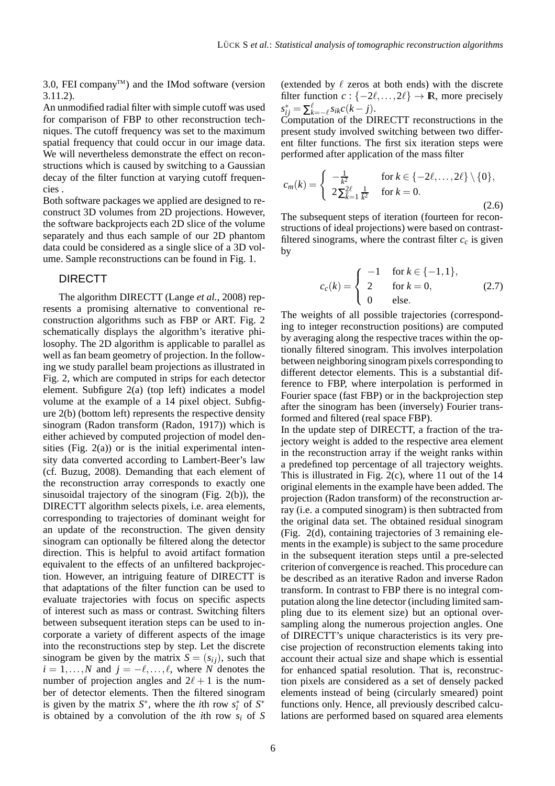3.0, FEI company<sup> $TM$ </sup>) and the IMod software (version 3.11.2).

An unmodified radial filter with simple cutoff was used for comparison of FBP to other reconstruction techniques. The cutoff frequency was set to the maximum spatial frequency that could occur in our image data. We will nevertheless demonstrate the effect on reconstructions which is caused by switching to a Gaussian decay of the filter function at varying cutoff frequencies .

Both software packages we applied are designed to reconstruct 3D volumes from 2D projections. However, the software backprojects each 2D slice of the volume separately and thus each sample of our 2D phantom data could be considered as a single slice of a 3D volume. Sample reconstructions can be found in Fig. 1.

#### DIRECTT

The algorithm DIRECTT (Lange *et al.*, 2008) represents a promising alternative to conventional reconstruction algorithms such as FBP or ART. Fig. 2 schematically displays the algorithm's iterative philosophy. The 2D algorithm is applicable to parallel as well as fan beam geometry of projection. In the following we study parallel beam projections as illustrated in Fig. 2, which are computed in strips for each detector element. Subfigure 2(a) (top left) indicates a model volume at the example of a 14 pixel object. Subfigure 2(b) (bottom left) represents the respective density sinogram (Radon transform (Radon, 1917)) which is either achieved by computed projection of model densities (Fig.  $2(a)$ ) or is the initial experimental intensity data converted according to Lambert-Beer's law (cf. Buzug, 2008). Demanding that each element of the reconstruction array corresponds to exactly one sinusoidal trajectory of the sinogram (Fig. 2(b)), the DIRECTT algorithm selects pixels, i.e. area elements, corresponding to trajectories of dominant weight for an update of the reconstruction. The given density sinogram can optionally be filtered along the detector direction. This is helpful to avoid artifact formation equivalent to the effects of an unfiltered backprojection. However, an intriguing feature of DIRECTT is that adaptations of the filter function can be used to evaluate trajectories with focus on specific aspects of interest such as mass or contrast. Switching filters between subsequent iteration steps can be used to incorporate a variety of different aspects of the image into the reconstructions step by step. Let the discrete sinogram be given by the matrix  $S = (s_{ij})$ , such that  $i = 1, \ldots, N$  and  $j = -\ell, \ldots, \ell$ , where *N* denotes the number of projection angles and  $2\ell + 1$  is the number of detector elements. Then the filtered sinogram is given by the matrix  $S^*$ , where the *i*th row  $s_i^*$  of  $S^*$ is obtained by a convolution of the *i*th row  $s_i$  of S (extended by  $\ell$  zeros at both ends) with the discrete filter function  $c : \{-2\ell, \ldots, 2\ell\} \to \mathbb{R}$ , more precisely  $s_{ij}^* = \sum_{k=-\ell}^{\ell} s_{ik} c(k-j).$ 

Computation of the DIRECTT reconstructions in the present study involved switching between two different filter functions. The first six iteration steps were performed after application of the mass filter

$$
c_m(k) = \begin{cases} -\frac{1}{k^2} & \text{for } k \in \{-2\ell, \dots, 2\ell\} \setminus \{0\}, \\ 2\sum_{k=1}^{2\ell} \frac{1}{k^2} & \text{for } k = 0. \end{cases}
$$
(2.6)

The subsequent steps of iteration (fourteen for reconstructions of ideal projections) were based on contrastfiltered sinograms, where the contrast filter  $c_c$  is given by

$$
c_c(k) = \begin{cases} -1 & \text{for } k \in \{-1, 1\}, \\ 2 & \text{for } k = 0, \\ 0 & \text{else.} \end{cases}
$$
 (2.7)

The weights of all possible trajectories (corresponding to integer reconstruction positions) are computed by averaging along the respective traces within the optionally filtered sinogram. This involves interpolation between neighboring sinogram pixels corresponding to different detector elements. This is a substantial difference to FBP, where interpolation is performed in Fourier space (fast FBP) or in the backprojection step after the sinogram has been (inversely) Fourier transformed and filtered (real space FBP).

In the update step of DIRECTT, a fraction of the trajectory weight is added to the respective area element in the reconstruction array if the weight ranks within a predefined top percentage of all trajectory weights. This is illustrated in Fig. 2(c), where 11 out of the 14 original elements in the example have been added. The projection (Radon transform) of the reconstruction array (i.e. a computed sinogram) is then subtracted from the original data set. The obtained residual sinogram (Fig. 2(d), containing trajectories of 3 remaining elements in the example) is subject to the same procedure in the subsequent iteration steps until a pre-selected criterion of convergence is reached. This procedure can be described as an iterative Radon and inverse Radon transform. In contrast to FBP there is no integral computation along the line detector (including limited sampling due to its element size) but an optional oversampling along the numerous projection angles. One of DIRECTT's unique characteristics is its very precise projection of reconstruction elements taking into account their actual size and shape which is essential for enhanced spatial resolution. That is, reconstruction pixels are considered as a set of densely packed elements instead of being (circularly smeared) point functions only. Hence, all previously described calculations are performed based on squared area elements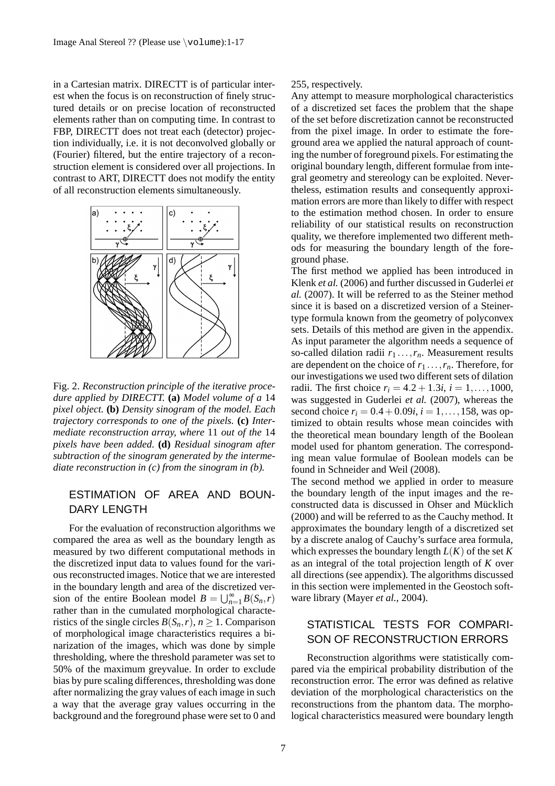in a Cartesian matrix. DIRECTT is of particular interest when the focus is on reconstruction of finely structured details or on precise location of reconstructed elements rather than on computing time. In contrast to FBP, DIRECTT does not treat each (detector) projection individually, i.e. it is not deconvolved globally or (Fourier) filtered, but the entire trajectory of a reconstruction element is considered over all projections. In contrast to ART, DIRECTT does not modify the entity of all reconstruction elements simultaneously.



Fig. 2. *Reconstruction principle of the iterative procedure applied by DIRECTT.* **(a)** *Model volume of a* 14 *pixel object.* **(b)** *Density sinogram of the model. Each trajectory corresponds to one of the pixels.* **(c)** *Intermediate reconstruction array, where* 11 *out of the* 14 *pixels have been added.* **(d)** *Residual sinogram after subtraction of the sinogram generated by the intermediate reconstruction in (c) from the sinogram in (b).*

# ESTIMATION OF AREA AND BOUN-DARY LENGTH

For the evaluation of reconstruction algorithms we compared the area as well as the boundary length as measured by two different computational methods in the discretized input data to values found for the various reconstructed images. Notice that we are interested in the boundary length and area of the discretized version of the entire Boolean model  $B = \bigcup_{n=1}^{\infty} B(S_n, r)$ rather than in the cumulated morphological characteristics of the single circles  $B(S_n, r)$ ,  $n \ge 1$ . Comparison of morphological image characteristics requires a binarization of the images, which was done by simple thresholding, where the threshold parameter was set to 50% of the maximum greyvalue. In order to exclude bias by pure scaling differences, thresholding was done after normalizing the gray values of each image in such a way that the average gray values occurring in the background and the foreground phase were set to 0 and

#### 255, respectively.

Any attempt to measure morphological characteristics of a discretized set faces the problem that the shape of the set before discretization cannot be reconstructed from the pixel image. In order to estimate the foreground area we applied the natural approach of counting the number of foreground pixels. For estimating the original boundary length, different formulae from integral geometry and stereology can be exploited. Nevertheless, estimation results and consequently approximation errors are more than likely to differ with respect to the estimation method chosen. In order to ensure reliability of our statistical results on reconstruction quality, we therefore implemented two different methods for measuring the boundary length of the foreground phase.

The first method we applied has been introduced in Klenk *et al.* (2006) and further discussed in Guderlei *et al.* (2007). It will be referred to as the Steiner method since it is based on a discretized version of a Steinertype formula known from the geometry of polyconvex sets. Details of this method are given in the appendix. As input parameter the algorithm needs a sequence of so-called dilation radii  $r_1 \ldots, r_n$ . Measurement results are dependent on the choice of  $r_1 \ldots, r_n$ . Therefore, for our investigations we used two different sets of dilation radii. The first choice  $r_i = 4.2 + 1.3i$ ,  $i = 1, ..., 1000$ , was suggested in Guderlei *et al.* (2007), whereas the second choice  $r_i = 0.4 + 0.09i$ ,  $i = 1, ..., 158$ , was optimized to obtain results whose mean coincides with the theoretical mean boundary length of the Boolean model used for phantom generation. The corresponding mean value formulae of Boolean models can be found in Schneider and Weil (2008).

The second method we applied in order to measure the boundary length of the input images and the reconstructed data is discussed in Ohser and Mücklich (2000) and will be referred to as the Cauchy method. It approximates the boundary length of a discretized set by a discrete analog of Cauchy's surface area formula, which expresses the boundary length  $L(K)$  of the set  $K$ as an integral of the total projection length of *K* over all directions (see appendix). The algorithms discussed in this section were implemented in the Geostoch software library (Mayer *et al.*, 2004).

# STATISTICAL TESTS FOR COMPARI-SON OF RECONSTRUCTION ERRORS

Reconstruction algorithms were statistically compared via the empirical probability distribution of the reconstruction error. The error was defined as relative deviation of the morphological characteristics on the reconstructions from the phantom data. The morphological characteristics measured were boundary length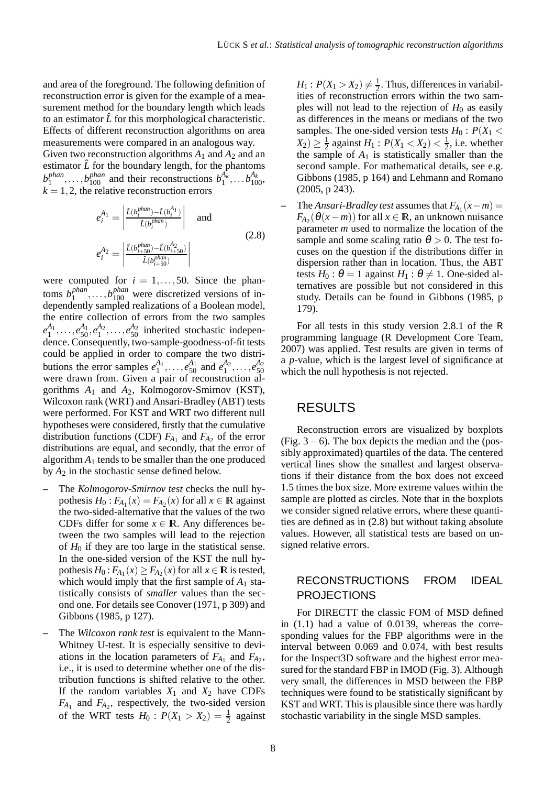and area of the foreground. The following definition of reconstruction error is given for the example of a measurement method for the boundary length which leads to an estimator  $\hat{L}$  for this morphological characteristic. Effects of different reconstruction algorithms on area measurements were compared in an analogous way. Given two reconstruction algorithms  $A_1$  and  $A_2$  and an estimator  $\hat{L}$  for the boundary length, for the phantoms *b phan*  $b_1^{phant}, \ldots, b_{100}^{phant}$  and their reconstructions  $b_1^{A_k}, \ldots, b_{100}^{A_k}$  $k = 1, 2$ , the relative reconstruction errors

$$
e_i^{A_1} = \left| \frac{\hat{L}(b_i^{phant}) - \hat{L}(b_i^{A_1})}{\hat{L}(b_i^{phant})} \right| \quad \text{and}
$$
  

$$
e_i^{A_2} = \left| \frac{\hat{L}(b_{i+50}^{phant}) - \hat{L}(b_{i+50}^{A_2})}{\hat{L}(b_{i+50}^{phant})} \right|
$$
 (2.8)

were computed for  $i = 1, \ldots, 50$ . Since the phantoms *b phan*  $h_1^{phant}, \ldots, h_{100}^{phant}$  were discretized versions of independently sampled realizations of a Boolean model, the entire collection of errors from the two samples  $e_1^{A_1}, \ldots, e_{50}^{A_1}, e_1^{A_2}, \ldots, e_{50}^{A_2}$  inherited stochastic independence. Consequently, two-sample-goodness-of-fit tests could be applied in order to compare the two distributions the error samples  $e_1^{A_1}, \ldots, e_{50}^{A_1}$  and  $e_1^{A_2}, \ldots, e_{50}^{A_2}$  were drawn from. Given a pair of reconstruction algorithms *A*<sup>1</sup> and *A*2, Kolmogorov-Smirnov (KST), Wilcoxon rank (WRT) and Ansari-Bradley (ABT) tests were performed. For KST and WRT two different null hypotheses were considered, firstly that the cumulative distribution functions (CDF)  $F_{A_1}$  and  $F_{A_2}$  of the error distributions are equal, and secondly, that the error of algorithm  $A_1$  tends to be smaller than the one produced by *A*<sup>2</sup> in the stochastic sense defined below.

- **–** The *Kolmogorov-Smirnov test* checks the null hypothesis  $H_0: F_{A_1}(x) = F_{A_2}(x)$  for all  $x \in \mathbb{R}$  against the two-sided-alternative that the values of the two CDFs differ for some  $x \in \mathbb{R}$ . Any differences between the two samples will lead to the rejection of  $H_0$  if they are too large in the statistical sense. In the one-sided version of the KST the null hypothesis  $H_0: F_{A_1}(x) \ge F_{A_2}(x)$  for all  $x \in \mathbb{R}$  is tested, which would imply that the first sample of  $A_1$  statistically consists of *smaller* values than the second one. For details see Conover (1971, p 309) and Gibbons (1985, p 127).
- **–** The *Wilcoxon rank test* is equivalent to the Mann-Whitney U-test. It is especially sensitive to deviations in the location parameters of  $F_{A_1}$  and  $F_{A_2}$ , i.e., it is used to determine whether one of the distribution functions is shifted relative to the other. If the random variables  $X_1$  and  $X_2$  have CDFs  $F_{A_1}$  and  $F_{A_2}$ , respectively, the two-sided version of the WRT tests  $H_0: P(X_1 > X_2) = \frac{1}{2}$  against

 $H_1: P(X_1 > X_2) \neq \frac{1}{2}$  $\frac{1}{2}$ . Thus, differences in variabilities of reconstruction errors within the two samples will not lead to the rejection of  $H_0$  as easily as differences in the means or medians of the two samples. The one-sided version tests  $H_0$ :  $P(X_1 \leq$  $(X_2) \geq \frac{1}{2}$  $\frac{1}{2}$  against *H*<sub>1</sub> :  $P(X_1 < X_2) < \frac{1}{2}$  $\frac{1}{2}$ , i.e. whether the sample of  $A_1$  is statistically smaller than the second sample. For mathematical details, see e.g. Gibbons (1985, p 164) and Lehmann and Romano (2005, p 243).

 $\blacksquare$  The *Ansari-Bradley test* assumes that  $F_{A_1}(x-m) =$  $F_{A_2}(\theta(x-m))$  for all  $x \in \mathbb{R}$ , an unknown nuisance parameter *m* used to normalize the location of the sample and some scaling ratio  $\theta > 0$ . The test focuses on the question if the distributions differ in dispersion rather than in location. Thus, the ABT tests  $H_0: \theta = 1$  against  $H_1: \theta \neq 1$ . One-sided alternatives are possible but not considered in this study. Details can be found in Gibbons (1985, p 179).

For all tests in this study version 2.8.1 of the R programming language (R Development Core Team, 2007) was applied. Test results are given in terms of a *p*-value, which is the largest level of significance at which the null hypothesis is not rejected.

### RESULTS

Reconstruction errors are visualized by boxplots (Fig.  $3 - 6$ ). The box depicts the median and the (possibly approximated) quartiles of the data. The centered vertical lines show the smallest and largest observations if their distance from the box does not exceed 1.5 times the box size. More extreme values within the sample are plotted as circles. Note that in the boxplots we consider signed relative errors, where these quantities are defined as in (2.8) but without taking absolute values. However, all statistical tests are based on unsigned relative errors.

### RECONSTRUCTIONS FROM IDEAL PROJECTIONS

For DIRECTT the classic FOM of MSD defined in (1.1) had a value of 0.0139, whereas the corresponding values for the FBP algorithms were in the interval between 0.069 and 0.074, with best results for the Inspect3D software and the highest error measured for the standard FBP in IMOD (Fig. 3). Although very small, the differences in MSD between the FBP techniques were found to be statistically significant by KST and WRT. This is plausible since there was hardly stochastic variability in the single MSD samples.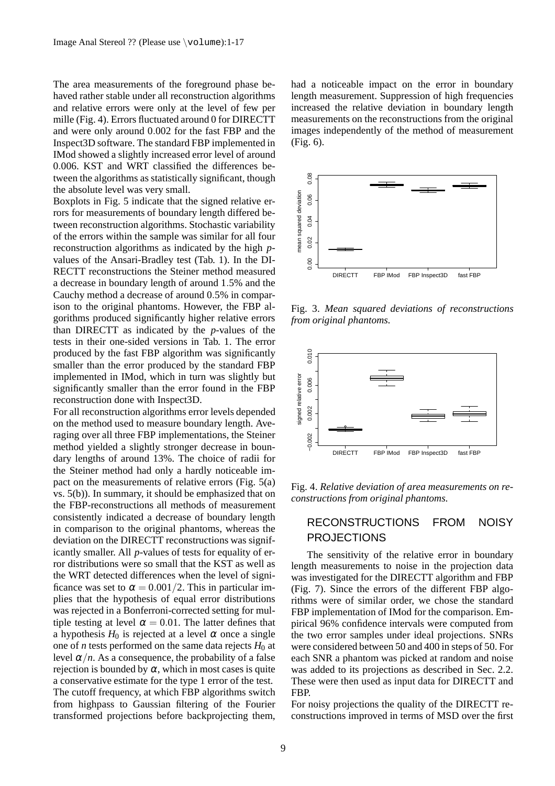The area measurements of the foreground phase behaved rather stable under all reconstruction algorithms and relative errors were only at the level of few per mille (Fig. 4). Errors fluctuated around 0 for DIRECTT and were only around 0.002 for the fast FBP and the Inspect3D software. The standard FBP implemented in IMod showed a slightly increased error level of around 0.006. KST and WRT classified the differences between the algorithms as statistically significant, though the absolute level was very small.

Boxplots in Fig. 5 indicate that the signed relative errors for measurements of boundary length differed between reconstruction algorithms. Stochastic variability of the errors within the sample was similar for all four reconstruction algorithms as indicated by the high *p*values of the Ansari-Bradley test (Tab. 1). In the DI-RECTT reconstructions the Steiner method measured a decrease in boundary length of around 1.5% and the Cauchy method a decrease of around 0.5% in comparison to the original phantoms. However, the FBP algorithms produced significantly higher relative errors than DIRECTT as indicated by the *p*-values of the tests in their one-sided versions in Tab. 1. The error produced by the fast FBP algorithm was significantly smaller than the error produced by the standard FBP implemented in IMod, which in turn was slightly but significantly smaller than the error found in the FBP reconstruction done with Inspect3D.

For all reconstruction algorithms error levels depended on the method used to measure boundary length. Averaging over all three FBP implementations, the Steiner method yielded a slightly stronger decrease in boundary lengths of around 13%. The choice of radii for the Steiner method had only a hardly noticeable impact on the measurements of relative errors (Fig. 5(a) vs. 5(b)). In summary, it should be emphasized that on the FBP-reconstructions all methods of measurement consistently indicated a decrease of boundary length in comparison to the original phantoms, whereas the deviation on the DIRECTT reconstructions was significantly smaller. All *p*-values of tests for equality of error distributions were so small that the KST as well as the WRT detected differences when the level of significance was set to  $\alpha = 0.001/2$ . This in particular implies that the hypothesis of equal error distributions was rejected in a Bonferroni-corrected setting for multiple testing at level  $\alpha = 0.01$ . The latter defines that a hypothesis  $H_0$  is rejected at a level  $\alpha$  once a single one of *n* tests performed on the same data rejects  $H_0$  at level  $\alpha/n$ . As a consequence, the probability of a false rejection is bounded by  $\alpha$ , which in most cases is quite a conservative estimate for the type 1 error of the test. The cutoff frequency, at which FBP algorithms switch from highpass to Gaussian filtering of the Fourier transformed projections before backprojecting them, had a noticeable impact on the error in boundary length measurement. Suppression of high frequencies increased the relative deviation in boundary length measurements on the reconstructions from the original images independently of the method of measurement (Fig. 6).



Fig. 3. *Mean squared deviations of reconstructions from original phantoms.*



Fig. 4. *Relative deviation of area measurements on reconstructions from original phantoms.*

#### RECONSTRUCTIONS FROM NOISY PROJECTIONS

The sensitivity of the relative error in boundary length measurements to noise in the projection data was investigated for the DIRECTT algorithm and FBP (Fig. 7). Since the errors of the different FBP algorithms were of similar order, we chose the standard FBP implementation of IMod for the comparison. Empirical 96% confidence intervals were computed from the two error samples under ideal projections. SNRs were considered between 50 and 400 in steps of 50. For each SNR a phantom was picked at random and noise was added to its projections as described in Sec. 2.2. These were then used as input data for DIRECTT and FBP.

For noisy projections the quality of the DIRECTT reconstructions improved in terms of MSD over the first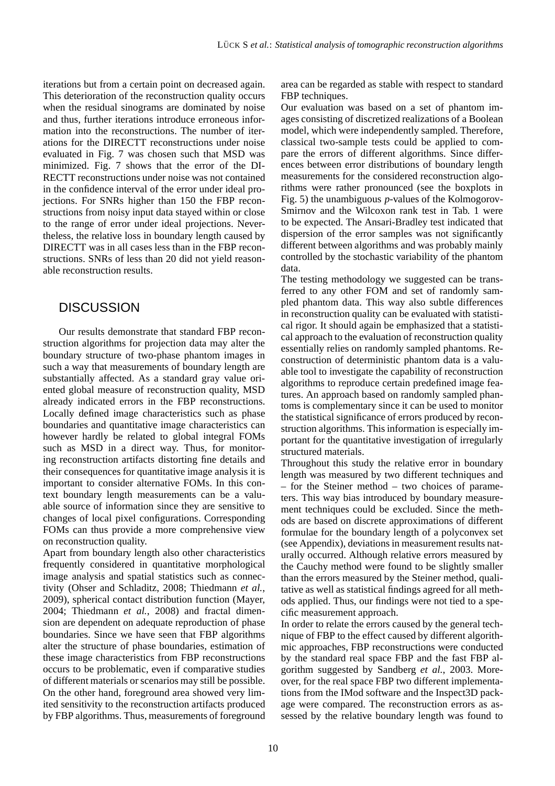iterations but from a certain point on decreased again. This deterioration of the reconstruction quality occurs when the residual sinograms are dominated by noise and thus, further iterations introduce erroneous information into the reconstructions. The number of iterations for the DIRECTT reconstructions under noise evaluated in Fig. 7 was chosen such that MSD was minimized. Fig. 7 shows that the error of the DI-RECTT reconstructions under noise was not contained in the confidence interval of the error under ideal projections. For SNRs higher than 150 the FBP reconstructions from noisy input data stayed within or close to the range of error under ideal projections. Nevertheless, the relative loss in boundary length caused by DIRECTT was in all cases less than in the FBP reconstructions. SNRs of less than 20 did not yield reasonable reconstruction results.

# **DISCUSSION**

Our results demonstrate that standard FBP reconstruction algorithms for projection data may alter the boundary structure of two-phase phantom images in such a way that measurements of boundary length are substantially affected. As a standard gray value oriented global measure of reconstruction quality, MSD already indicated errors in the FBP reconstructions. Locally defined image characteristics such as phase boundaries and quantitative image characteristics can however hardly be related to global integral FOMs such as MSD in a direct way. Thus, for monitoring reconstruction artifacts distorting fine details and their consequences for quantitative image analysis it is important to consider alternative FOMs. In this context boundary length measurements can be a valuable source of information since they are sensitive to changes of local pixel configurations. Corresponding FOMs can thus provide a more comprehensive view on reconstruction quality.

Apart from boundary length also other characteristics frequently considered in quantitative morphological image analysis and spatial statistics such as connectivity (Ohser and Schladitz, 2008; Thiedmann *et al.*, 2009), spherical contact distribution function (Mayer, 2004; Thiedmann *et al.*, 2008) and fractal dimension are dependent on adequate reproduction of phase boundaries. Since we have seen that FBP algorithms alter the structure of phase boundaries, estimation of these image characteristics from FBP reconstructions occurs to be problematic, even if comparative studies of different materials or scenarios may still be possible. On the other hand, foreground area showed very limited sensitivity to the reconstruction artifacts produced by FBP algorithms. Thus, measurements of foreground area can be regarded as stable with respect to standard FBP techniques.

Our evaluation was based on a set of phantom images consisting of discretized realizations of a Boolean model, which were independently sampled. Therefore, classical two-sample tests could be applied to compare the errors of different algorithms. Since differences between error distributions of boundary length measurements for the considered reconstruction algorithms were rather pronounced (see the boxplots in Fig. 5) the unambiguous *p*-values of the Kolmogorov-Smirnov and the Wilcoxon rank test in Tab. 1 were to be expected. The Ansari-Bradley test indicated that dispersion of the error samples was not significantly different between algorithms and was probably mainly controlled by the stochastic variability of the phantom data.

The testing methodology we suggested can be transferred to any other FOM and set of randomly sampled phantom data. This way also subtle differences in reconstruction quality can be evaluated with statistical rigor. It should again be emphasized that a statistical approach to the evaluation of reconstruction quality essentially relies on randomly sampled phantoms. Reconstruction of deterministic phantom data is a valuable tool to investigate the capability of reconstruction algorithms to reproduce certain predefined image features. An approach based on randomly sampled phantoms is complementary since it can be used to monitor the statistical significance of errors produced by reconstruction algorithms. This information is especially important for the quantitative investigation of irregularly structured materials.

Throughout this study the relative error in boundary length was measured by two different techniques and – for the Steiner method – two choices of parameters. This way bias introduced by boundary measurement techniques could be excluded. Since the methods are based on discrete approximations of different formulae for the boundary length of a polyconvex set (see Appendix), deviations in measurement results naturally occurred. Although relative errors measured by the Cauchy method were found to be slightly smaller than the errors measured by the Steiner method, qualitative as well as statistical findings agreed for all methods applied. Thus, our findings were not tied to a specific measurement approach.

In order to relate the errors caused by the general technique of FBP to the effect caused by different algorithmic approaches, FBP reconstructions were conducted by the standard real space FBP and the fast FBP algorithm suggested by Sandberg *et al.*, 2003. Moreover, for the real space FBP two different implementations from the IMod software and the Inspect3D package were compared. The reconstruction errors as assessed by the relative boundary length was found to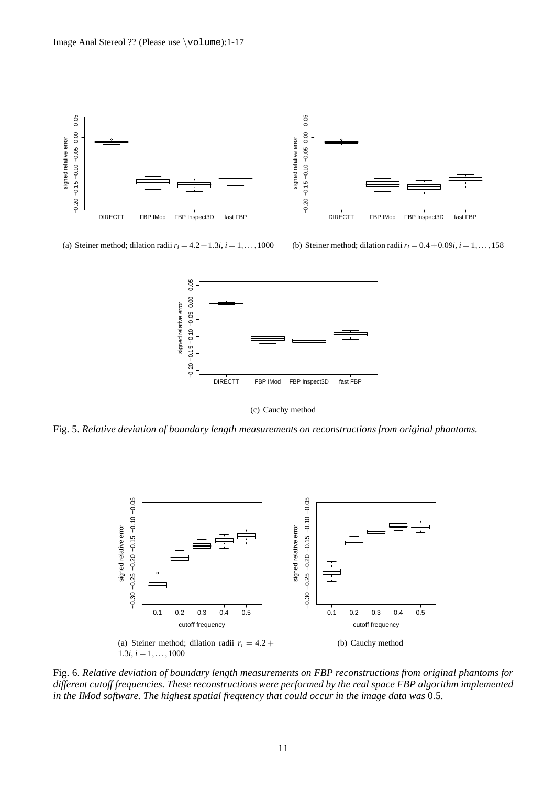

(a) Steiner method; dilation radii  $r_i = 4.2 + 1.3i$ ,  $i = 1, \ldots, 1000$ 

(b) Steiner method; dilation radii  $r_i = 0.4 + 0.09i$ ,  $i = 1, \ldots, 158$ 



(c) Cauchy method

Fig. 5. *Relative deviation of boundary length measurements on reconstructions from original phantoms.*



Fig. 6. *Relative deviation of boundary length measurements on FBP reconstructions from original phantoms for different cutoff frequencies. These reconstructions were performed by the real space FBP algorithm implemented in the IMod software. The highest spatial frequency that could occur in the image data was* 0.5*.*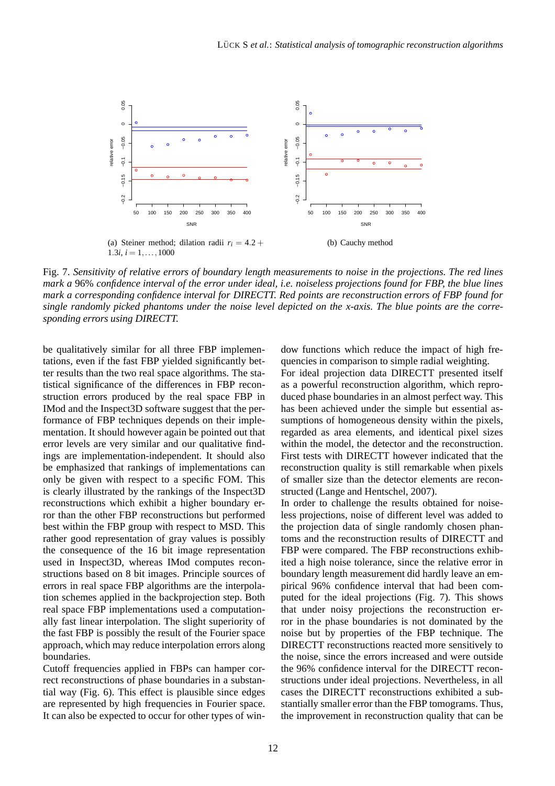

Fig. 7. *Sensitivity of relative errors of boundary length measurements to noise in the projections. The red lines mark a* 96% *confidence interval of the error under ideal, i.e. noiseless projections found for FBP, the blue lines mark a corresponding confidence interval for DIRECTT. Red points are reconstruction errors of FBP found for single randomly picked phantoms under the noise level depicted on the x-axis. The blue points are the corresponding errors using DIRECTT.*

be qualitatively similar for all three FBP implementations, even if the fast FBP yielded significantly better results than the two real space algorithms. The statistical significance of the differences in FBP reconstruction errors produced by the real space FBP in IMod and the Inspect3D software suggest that the performance of FBP techniques depends on their implementation. It should however again be pointed out that error levels are very similar and our qualitative findings are implementation-independent. It should also be emphasized that rankings of implementations can only be given with respect to a specific FOM. This is clearly illustrated by the rankings of the Inspect3D reconstructions which exhibit a higher boundary error than the other FBP reconstructions but performed best within the FBP group with respect to MSD. This rather good representation of gray values is possibly the consequence of the 16 bit image representation used in Inspect3D, whereas IMod computes reconstructions based on 8 bit images. Principle sources of errors in real space FBP algorithms are the interpolation schemes applied in the backprojection step. Both real space FBP implementations used a computationally fast linear interpolation. The slight superiority of the fast FBP is possibly the result of the Fourier space approach, which may reduce interpolation errors along boundaries.

Cutoff frequencies applied in FBPs can hamper correct reconstructions of phase boundaries in a substantial way (Fig. 6). This effect is plausible since edges are represented by high frequencies in Fourier space. It can also be expected to occur for other types of window functions which reduce the impact of high frequencies in comparison to simple radial weighting.

For ideal projection data DIRECTT presented itself as a powerful reconstruction algorithm, which reproduced phase boundaries in an almost perfect way. This has been achieved under the simple but essential assumptions of homogeneous density within the pixels, regarded as area elements, and identical pixel sizes within the model, the detector and the reconstruction. First tests with DIRECTT however indicated that the reconstruction quality is still remarkable when pixels of smaller size than the detector elements are reconstructed (Lange and Hentschel, 2007).

In order to challenge the results obtained for noiseless projections, noise of different level was added to the projection data of single randomly chosen phantoms and the reconstruction results of DIRECTT and FBP were compared. The FBP reconstructions exhibited a high noise tolerance, since the relative error in boundary length measurement did hardly leave an empirical 96% confidence interval that had been computed for the ideal projections (Fig. 7). This shows that under noisy projections the reconstruction error in the phase boundaries is not dominated by the noise but by properties of the FBP technique. The DIRECTT reconstructions reacted more sensitively to the noise, since the errors increased and were outside the 96% confidence interval for the DIRECTT reconstructions under ideal projections. Nevertheless, in all cases the DIRECTT reconstructions exhibited a substantially smaller error than the FBP tomograms. Thus, the improvement in reconstruction quality that can be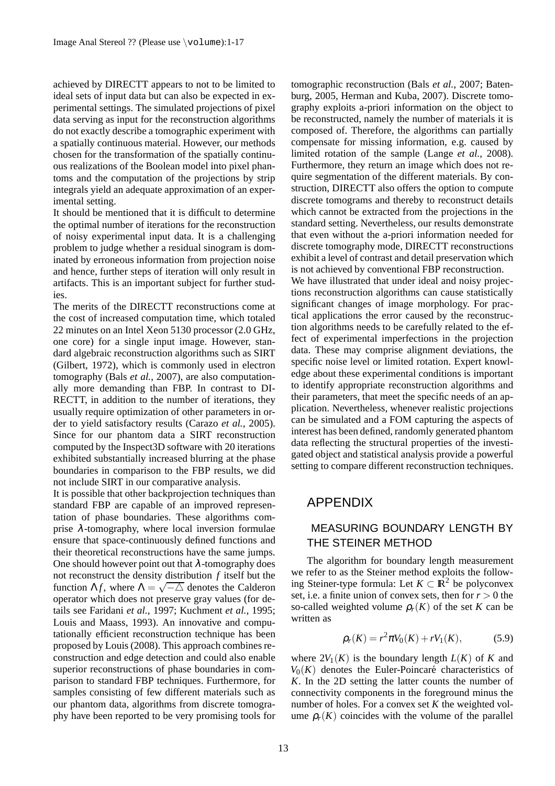achieved by DIRECTT appears to not to be limited to ideal sets of input data but can also be expected in experimental settings. The simulated projections of pixel data serving as input for the reconstruction algorithms do not exactly describe a tomographic experiment with a spatially continuous material. However, our methods chosen for the transformation of the spatially continuous realizations of the Boolean model into pixel phantoms and the computation of the projections by strip integrals yield an adequate approximation of an experimental setting.

It should be mentioned that it is difficult to determine the optimal number of iterations for the reconstruction of noisy experimental input data. It is a challenging problem to judge whether a residual sinogram is dominated by erroneous information from projection noise and hence, further steps of iteration will only result in artifacts. This is an important subject for further studies.

The merits of the DIRECTT reconstructions come at the cost of increased computation time, which totaled 22 minutes on an Intel Xeon 5130 processor (2.0 GHz, one core) for a single input image. However, standard algebraic reconstruction algorithms such as SIRT (Gilbert, 1972), which is commonly used in electron tomography (Bals *et al.*, 2007), are also computationally more demanding than FBP. In contrast to DI-RECTT, in addition to the number of iterations, they usually require optimization of other parameters in order to yield satisfactory results (Carazo *et al.*, 2005). Since for our phantom data a SIRT reconstruction computed by the Inspect3D software with 20 iterations exhibited substantially increased blurring at the phase boundaries in comparison to the FBP results, we did not include SIRT in our comparative analysis.

It is possible that other backprojection techniques than standard FBP are capable of an improved representation of phase boundaries. These algorithms comprise  $\lambda$ -tomography, where local inversion formulae ensure that space-continuously defined functions and their theoretical reconstructions have the same jumps. One should however point out that  $\lambda$ -tomography does not reconstruct the density distribution *f* itself but the function  $\Lambda f$ , where  $\Lambda = \sqrt{-\Delta}$  denotes the Calderon operator which does not preserve gray values (for details see Faridani *et al.*, 1997; Kuchment *et al.*, 1995; Louis and Maass, 1993). An innovative and computationally efficient reconstruction technique has been proposed by Louis (2008). This approach combines reconstruction and edge detection and could also enable superior reconstructions of phase boundaries in comparison to standard FBP techniques. Furthermore, for samples consisting of few different materials such as our phantom data, algorithms from discrete tomography have been reported to be very promising tools for tomographic reconstruction (Bals *et al.*, 2007; Batenburg, 2005, Herman and Kuba, 2007). Discrete tomography exploits a-priori information on the object to be reconstructed, namely the number of materials it is composed of. Therefore, the algorithms can partially compensate for missing information, e.g. caused by limited rotation of the sample (Lange *et al.*, 2008). Furthermore, they return an image which does not require segmentation of the different materials. By construction, DIRECTT also offers the option to compute discrete tomograms and thereby to reconstruct details which cannot be extracted from the projections in the standard setting. Nevertheless, our results demonstrate that even without the a-priori information needed for discrete tomography mode, DIRECTT reconstructions exhibit a level of contrast and detail preservation which is not achieved by conventional FBP reconstruction. We have illustrated that under ideal and noisy projec-

tions reconstruction algorithms can cause statistically significant changes of image morphology. For practical applications the error caused by the reconstruction algorithms needs to be carefully related to the effect of experimental imperfections in the projection data. These may comprise alignment deviations, the specific noise level or limited rotation. Expert knowledge about these experimental conditions is important to identify appropriate reconstruction algorithms and their parameters, that meet the specific needs of an application. Nevertheless, whenever realistic projections can be simulated and a FOM capturing the aspects of interest has been defined, randomly generated phantom data reflecting the structural properties of the investigated object and statistical analysis provide a powerful setting to compare different reconstruction techniques.

# APPENDIX

# MEASURING BOUNDARY LENGTH BY THE STEINER METHOD

The algorithm for boundary length measurement we refer to as the Steiner method exploits the following Steiner-type formula: Let  $K \subset \mathbb{R}^2$  be polyconvex set, i.e. a finite union of convex sets, then for  $r > 0$  the so-called weighted volume  $\rho_r(K)$  of the set *K* can be written as

$$
\rho_r(K) = r^2 \pi V_0(K) + r V_1(K), \tag{5.9}
$$

where  $2V_1(K)$  is the boundary length  $L(K)$  of K and  $V_0(K)$  denotes the Euler-Poincaré characteristics of *K*. In the 2D setting the latter counts the number of connectivity components in the foreground minus the number of holes. For a convex set *K* the weighted volume  $\rho_r(K)$  coincides with the volume of the parallel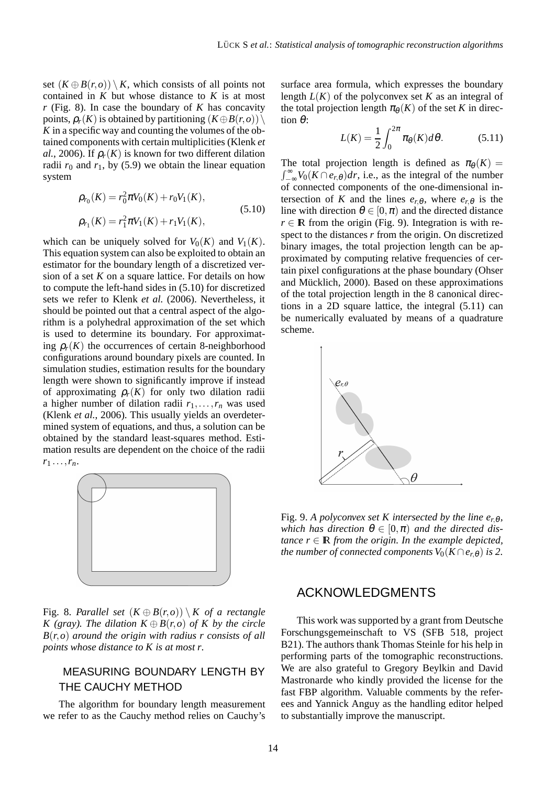set  $(K \oplus B(r, o)) \setminus K$ , which consists of all points not contained in  $K$  but whose distance to  $K$  is at most  $r$  (Fig. 8). In case the boundary of  $K$  has concavity points,  $\rho_r(K)$  is obtained by partitioning  $(K \oplus B(r, o))$ *K* in a specific way and counting the volumes of the obtained components with certain multiplicities (Klenk *et al.*, 2006). If  $\rho_r(K)$  is known for two different dilation radii  $r_0$  and  $r_1$ , by (5.9) we obtain the linear equation system

$$
\rho_{r_0}(K) = r_0^2 \pi V_0(K) + r_0 V_1(K),
$$
  
\n
$$
\rho_{r_1}(K) = r_1^2 \pi V_1(K) + r_1 V_1(K),
$$
\n(5.10)

which can be uniquely solved for  $V_0(K)$  and  $V_1(K)$ . This equation system can also be exploited to obtain an estimator for the boundary length of a discretized version of a set *K* on a square lattice. For details on how to compute the left-hand sides in (5.10) for discretized sets we refer to Klenk *et al.* (2006). Nevertheless, it should be pointed out that a central aspect of the algorithm is a polyhedral approximation of the set which is used to determine its boundary. For approximating  $\rho_r(K)$  the occurrences of certain 8-neighborhood configurations around boundary pixels are counted. In simulation studies, estimation results for the boundary length were shown to significantly improve if instead of approximating  $\rho_r(K)$  for only two dilation radii a higher number of dilation radii  $r_1, \ldots, r_n$  was used (Klenk *et al.*, 2006). This usually yields an overdetermined system of equations, and thus, a solution can be obtained by the standard least-squares method. Estimation results are dependent on the choice of the radii  $r_1 \ldots, r_n$ .



Fig. 8. *Parallel set*  $(K \oplus B(r, o)) \setminus K$  *of a rectangle K* (gray). The dilation  $K \oplus B(r, o)$  of K by the circle *B*(*r*,*o*) *around the origin with radius r consists of all points whose distance to K is at most r.*

# MEASURING BOUNDARY LENGTH BY THE CAUCHY METHOD

The algorithm for boundary length measurement we refer to as the Cauchy method relies on Cauchy's surface area formula, which expresses the boundary length  $L(K)$  of the polyconvex set K as an integral of the total projection length  $\pi_{\theta}(K)$  of the set *K* in direction θ:

$$
L(K) = \frac{1}{2} \int_0^{2\pi} \pi_\theta(K) d\theta.
$$
 (5.11)

The total projection length is defined as  $\pi_{\theta}(K)$  =  $\int_{-\infty}^{\infty} V_0(K \cap e_{r,\theta}) dr$ , i.e., as the integral of the number of connected components of the one-dimensional intersection of *K* and the lines  $e_{r\theta}$ , where  $e_{r\theta}$  is the line with direction  $\theta \in [0, \pi)$  and the directed distance  $r \in \mathbb{R}$  from the origin (Fig. 9). Integration is with respect to the distances *r* from the origin. On discretized binary images, the total projection length can be approximated by computing relative frequencies of certain pixel configurations at the phase boundary (Ohser and Mücklich, 2000). Based on these approximations of the total projection length in the 8 canonical directions in a 2D square lattice, the integral (5.11) can be numerically evaluated by means of a quadrature scheme.



Fig. 9. A polyconvex set K intersected by the line  $e_{r,\theta}$ , *which has direction*  $\theta \in [0, \pi)$  *and the directed distance*  $r \in \mathbb{R}$  *from the origin. In the example depicted, the number of connected components*  $V_0(K \cap e_{r,\theta})$  *is 2.* 

### ACKNOWLEDGMENTS

This work was supported by a grant from Deutsche Forschungsgemeinschaft to VS (SFB 518, project B21). The authors thank Thomas Steinle for his help in performing parts of the tomographic reconstructions. We are also grateful to Gregory Beylkin and David Mastronarde who kindly provided the license for the fast FBP algorithm. Valuable comments by the referees and Yannick Anguy as the handling editor helped to substantially improve the manuscript.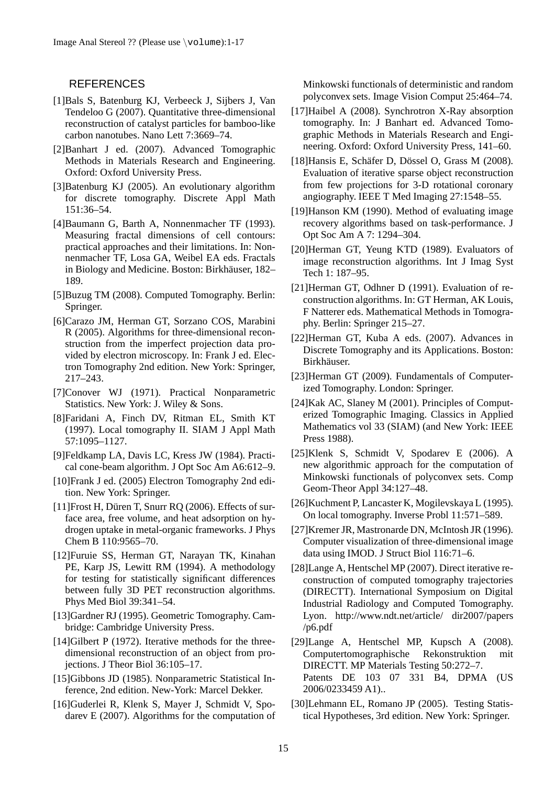#### **REFERENCES**

- [1]Bals S, Batenburg KJ, Verbeeck J, Sijbers J, Van Tendeloo G (2007). Quantitative three-dimensional reconstruction of catalyst particles for bamboo-like carbon nanotubes. Nano Lett 7:3669–74.
- [2]Banhart J ed. (2007). Advanced Tomographic Methods in Materials Research and Engineering. Oxford: Oxford University Press.
- [3]Batenburg KJ (2005). An evolutionary algorithm for discrete tomography. Discrete Appl Math 151:36–54.
- [4]Baumann G, Barth A, Nonnenmacher TF (1993). Measuring fractal dimensions of cell contours: practical approaches and their limitations. In: Nonnenmacher TF, Losa GA, Weibel EA eds. Fractals in Biology and Medicine. Boston: Birkhäuser, 182– 189.
- [5]Buzug TM (2008). Computed Tomography. Berlin: Springer.
- [6]Carazo JM, Herman GT, Sorzano COS, Marabini R (2005). Algorithms for three-dimensional reconstruction from the imperfect projection data provided by electron microscopy. In: Frank J ed. Electron Tomography 2nd edition. New York: Springer, 217–243.
- [7]Conover WJ (1971). Practical Nonparametric Statistics. New York: J. Wiley & Sons.
- [8]Faridani A, Finch DV, Ritman EL, Smith KT (1997). Local tomography II. SIAM J Appl Math 57:1095–1127.
- [9]Feldkamp LA, Davis LC, Kress JW (1984). Practical cone-beam algorithm. J Opt Soc Am A6:612–9.
- [10]Frank J ed. (2005) Electron Tomography 2nd edition. New York: Springer.
- $[11]$ Frost H, Düren T, Snurr RQ (2006). Effects of surface area, free volume, and heat adsorption on hydrogen uptake in metal-organic frameworks. J Phys Chem B 110:9565–70.
- [12]Furuie SS, Herman GT, Narayan TK, Kinahan PE, Karp JS, Lewitt RM (1994). A methodology for testing for statistically significant differences between fully 3D PET reconstruction algorithms. Phys Med Biol 39:341–54.
- [13]Gardner RJ (1995). Geometric Tomography. Cambridge: Cambridge University Press.
- [14]Gilbert P (1972). Iterative methods for the threedimensional reconstruction of an object from projections. J Theor Biol 36:105–17.
- [15]Gibbons JD (1985). Nonparametric Statistical Inference, 2nd edition. New-York: Marcel Dekker.
- [16]Guderlei R, Klenk S, Mayer J, Schmidt V, Spodarev E (2007). Algorithms for the computation of

Minkowski functionals of deterministic and random polyconvex sets. Image Vision Comput 25:464–74.

- [17]Haibel A (2008). Synchrotron X-Ray absorption tomography. In: J Banhart ed. Advanced Tomographic Methods in Materials Research and Engineering. Oxford: Oxford University Press, 141–60.
- [18]Hansis E, Schäfer D, Dössel O, Grass M (2008). Evaluation of iterative sparse object reconstruction from few projections for 3-D rotational coronary angiography. IEEE T Med Imaging 27:1548–55.
- [19]Hanson KM (1990). Method of evaluating image recovery algorithms based on task-performance. J Opt Soc Am A 7: 1294–304.
- [20]Herman GT, Yeung KTD (1989). Evaluators of image reconstruction algorithms. Int J Imag Syst Tech 1: 187–95.
- [21]Herman GT, Odhner D (1991). Evaluation of reconstruction algorithms. In: GT Herman, AK Louis, F Natterer eds. Mathematical Methods in Tomography. Berlin: Springer 215–27.
- [22]Herman GT, Kuba A eds. (2007). Advances in Discrete Tomography and its Applications. Boston: Birkhäuser.
- [23]Herman GT (2009). Fundamentals of Computerized Tomography. London: Springer.
- [24]Kak AC, Slaney M (2001). Principles of Computerized Tomographic Imaging. Classics in Applied Mathematics vol 33 (SIAM) (and New York: IEEE Press 1988).
- [25]Klenk S, Schmidt V, Spodarev E (2006). A new algorithmic approach for the computation of Minkowski functionals of polyconvex sets. Comp Geom-Theor Appl 34:127–48.
- [26]Kuchment P, Lancaster K, Mogilevskaya L (1995). On local tomography. Inverse Probl 11:571–589.
- [27]Kremer JR, Mastronarde DN, McIntosh JR (1996). Computer visualization of three-dimensional image data using IMOD. J Struct Biol 116:71–6.
- [28]Lange A, Hentschel MP (2007). Direct iterative reconstruction of computed tomography trajectories (DIRECTT). International Symposium on Digital Industrial Radiology and Computed Tomography. Lyon. http://www.ndt.net/article/ dir2007/papers /p6.pdf

[29]Lange A, Hentschel MP, Kupsch A (2008). Computertomographische Rekonstruktion mit DIRECTT. MP Materials Testing 50:272–7. Patents DE 103 07 331 B4, DPMA (US 2006/0233459 A1)..

[30]Lehmann EL, Romano JP (2005). Testing Statistical Hypotheses, 3rd edition. New York: Springer.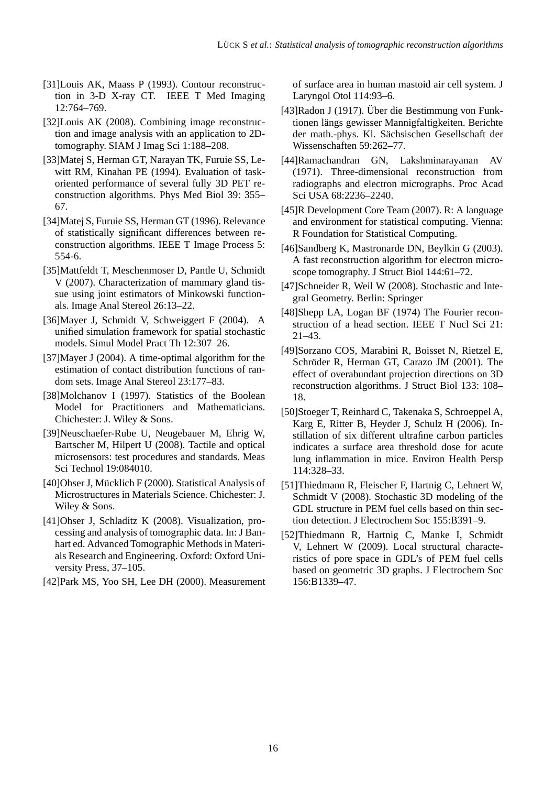- [31]Louis AK, Maass P (1993). Contour reconstruction in 3-D X-ray CT. IEEE T Med Imaging 12:764–769.
- [32]Louis AK (2008). Combining image reconstruction and image analysis with an application to 2Dtomography. SIAM J Imag Sci 1:188–208.
- [33]Matej S, Herman GT, Narayan TK, Furuie SS, Lewitt RM, Kinahan PE (1994). Evaluation of taskoriented performance of several fully 3D PET reconstruction algorithms. Phys Med Biol 39: 355– 67.
- [34]Matej S, Furuie SS, Herman GT (1996). Relevance of statistically significant differences between reconstruction algorithms. IEEE T Image Process 5: 554-6.
- [35]Mattfeldt T, Meschenmoser D, Pantle U, Schmidt V (2007). Characterization of mammary gland tissue using joint estimators of Minkowski functionals. Image Anal Stereol 26:13–22.
- [36]Mayer J, Schmidt V, Schweiggert F (2004). A unified simulation framework for spatial stochastic models. Simul Model Pract Th 12:307–26.
- [37]Mayer J (2004). A time-optimal algorithm for the estimation of contact distribution functions of random sets. Image Anal Stereol 23:177–83.
- [38]Molchanov I (1997). Statistics of the Boolean Model for Practitioners and Mathematicians. Chichester: J. Wiley & Sons.
- [39]Neuschaefer-Rube U, Neugebauer M, Ehrig W, Bartscher M, Hilpert U (2008). Tactile and optical microsensors: test procedures and standards. Meas Sci Technol 19:084010.
- [40]Ohser J, Mücklich F (2000). Statistical Analysis of Microstructures in Materials Science. Chichester: J. Wiley & Sons.
- [41]Ohser J, Schladitz K (2008). Visualization, processing and analysis of tomographic data. In: J Banhart ed. Advanced Tomographic Methods in Materials Research and Engineering. Oxford: Oxford University Press, 37–105.
- [42]Park MS, Yoo SH, Lee DH (2000). Measurement

of surface area in human mastoid air cell system. J Laryngol Otol 114:93–6.

- [43]Radon J (1917). Über die Bestimmung von Funktionen längs gewisser Mannigfaltigkeiten. Berichte der math.-phys. Kl. Sächsischen Gesellschaft der Wissenschaften 59:262–77.
- [44]Ramachandran GN, Lakshminarayanan AV (1971). Three-dimensional reconstruction from radiographs and electron micrographs. Proc Acad Sci USA 68:2236–2240.
- [45]R Development Core Team (2007). R: A language and environment for statistical computing. Vienna: R Foundation for Statistical Computing.
- [46]Sandberg K, Mastronarde DN, Beylkin G (2003). A fast reconstruction algorithm for electron microscope tomography. J Struct Biol 144:61–72.
- [47]Schneider R, Weil W (2008). Stochastic and Integral Geometry. Berlin: Springer
- [48]Shepp LA, Logan BF (1974) The Fourier reconstruction of a head section. IEEE T Nucl Sci 21: 21–43.
- [49]Sorzano COS, Marabini R, Boisset N, Rietzel E, Schröder R, Herman GT, Carazo JM (2001). The effect of overabundant projection directions on 3D reconstruction algorithms. J Struct Biol 133: 108– 18.
- [50]Stoeger T, Reinhard C, Takenaka S, Schroeppel A, Karg E, Ritter B, Heyder J, Schulz H (2006). Instillation of six different ultrafine carbon particles indicates a surface area threshold dose for acute lung inflammation in mice. Environ Health Persp 114:328–33.
- [51]Thiedmann R, Fleischer F, Hartnig C, Lehnert W, Schmidt V (2008). Stochastic 3D modeling of the GDL structure in PEM fuel cells based on thin section detection. J Electrochem Soc 155:B391–9.
- [52]Thiedmann R, Hartnig C, Manke I, Schmidt V, Lehnert W (2009). Local structural characteristics of pore space in GDL's of PEM fuel cells based on geometric 3D graphs. J Electrochem Soc 156:B1339–47.